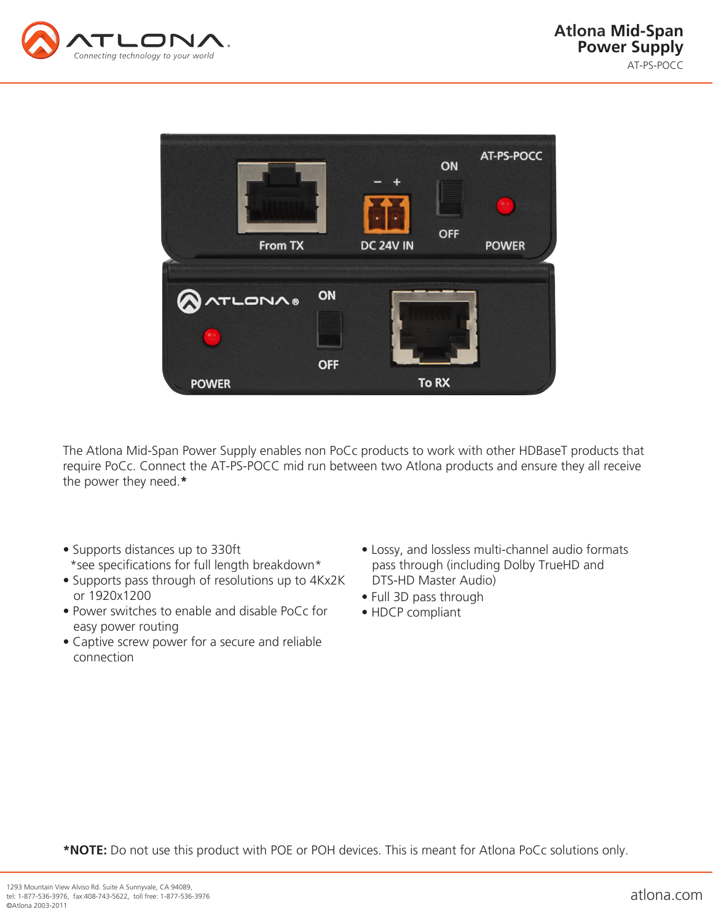



The Atlona Mid-Span Power Supply enables non PoCc products to work with other HDBaseT products that require PoCc. Connect the AT-PS-POCC mid run between two Atlona products and ensure they all receive the power they need.**\***

- Supports distances up to 330ft \*see specifications for full length breakdown\*
- Supports pass through of resolutions up to 4Kx2K or 1920x1200
- Power switches to enable and disable PoCc for easy power routing
- Captive screw power for a secure and reliable connection
- Lossy, and lossless multi-channel audio formats pass through (including Dolby TrueHD and DTS-HD Master Audio)
- Full 3D pass through
- HDCP compliant

**\*NOTE:** Do not use this product with POE or POH devices. This is meant for Atlona PoCc solutions only.